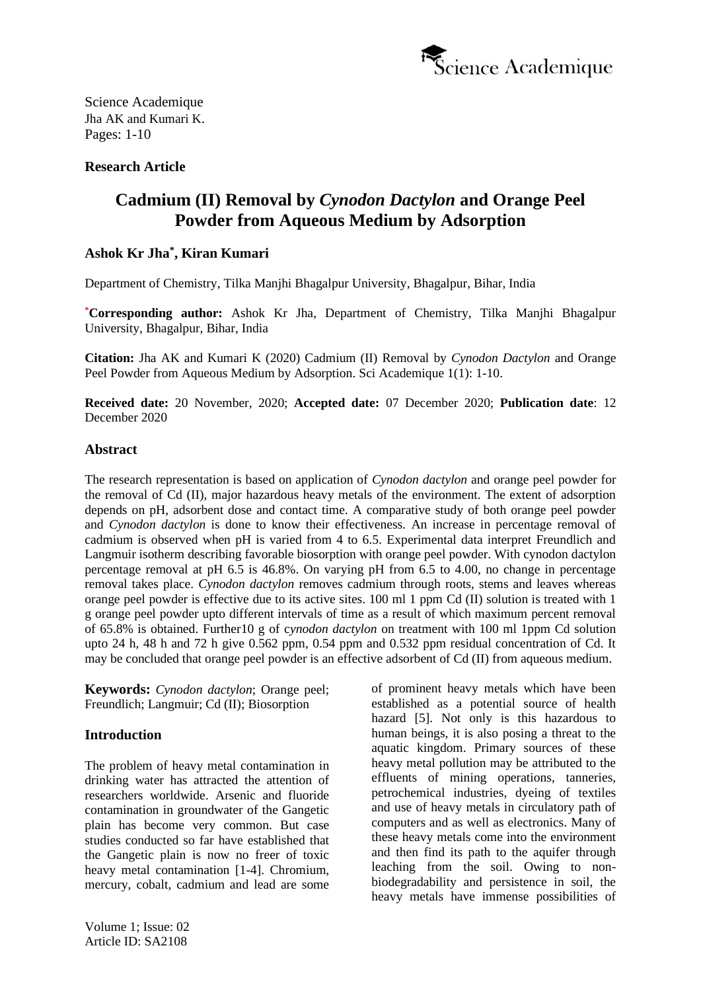

# **Research Article**

# **Cadmium (II) Removal by** *Cynodon Dactylon* **and Orange Peel Powder from Aqueous Medium by Adsorption**

# **Ashok Kr Jha\* , Kiran Kumari**

Department of Chemistry, Tilka Manjhi Bhagalpur University, Bhagalpur, Bihar, India

**\*Corresponding author:** Ashok Kr Jha, Department of Chemistry, Tilka Manjhi Bhagalpur University, Bhagalpur, Bihar, India

**Citation:** Jha AK and Kumari K (2020) Cadmium (II) Removal by *Cynodon Dactylon* and Orange Peel Powder from Aqueous Medium by Adsorption. Sci Academique 1(1): 1-10.

**Received date:** 20 November, 2020; **Accepted date:** 07 December 2020; **Publication date**: 12 December 2020

### **Abstract**

The research representation is based on application of *Cynodon dactylon* and orange peel powder for the removal of Cd (II), major hazardous heavy metals of the environment. The extent of adsorption depends on pH, adsorbent dose and contact time. A comparative study of both orange peel powder and *Cynodon dactylon* is done to know their effectiveness. An increase in percentage removal of cadmium is observed when pH is varied from 4 to 6.5. Experimental data interpret Freundlich and Langmuir isotherm describing favorable biosorption with orange peel powder. With cynodon dactylon percentage removal at pH 6.5 is 46.8%. On varying pH from 6.5 to 4.00, no change in percentage removal takes place. *Cynodon dactylon* removes cadmium through roots, stems and leaves whereas orange peel powder is effective due to its active sites. 100 ml 1 ppm Cd (II) solution is treated with 1 g orange peel powder upto different intervals of time as a result of which maximum percent removal of 65.8% is obtained. Further10 g of c*ynodon dactylon* on treatment with 100 ml 1ppm Cd solution upto 24 h, 48 h and 72 h give 0.562 ppm, 0.54 ppm and 0.532 ppm residual concentration of Cd. It may be concluded that orange peel powder is an effective adsorbent of Cd (II) from aqueous medium.

**Keywords:** *Cynodon dactylon*; Orange peel; Freundlich; Langmuir; Cd (II); Biosorption

# **Introduction**

The problem of heavy metal contamination in drinking water has attracted the attention of researchers worldwide. Arsenic and fluoride contamination in groundwater of the Gangetic plain has become very common. But case studies conducted so far have established that the Gangetic plain is now no freer of toxic heavy metal contamination [1-4]. Chromium, mercury, cobalt, cadmium and lead are some

Volume 1; Issue: 02 Article ID: SA2108

of prominent heavy metals which have been established as a potential source of health hazard [5]. Not only is this hazardous to human beings, it is also posing a threat to the aquatic kingdom. Primary sources of these heavy metal pollution may be attributed to the effluents of mining operations, tanneries, petrochemical industries, dyeing of textiles and use of heavy metals in circulatory path of computers and as well as electronics. Many of these heavy metals come into the environment and then find its path to the aquifer through leaching from the soil. Owing to nonbiodegradability and persistence in soil, the heavy metals have immense possibilities of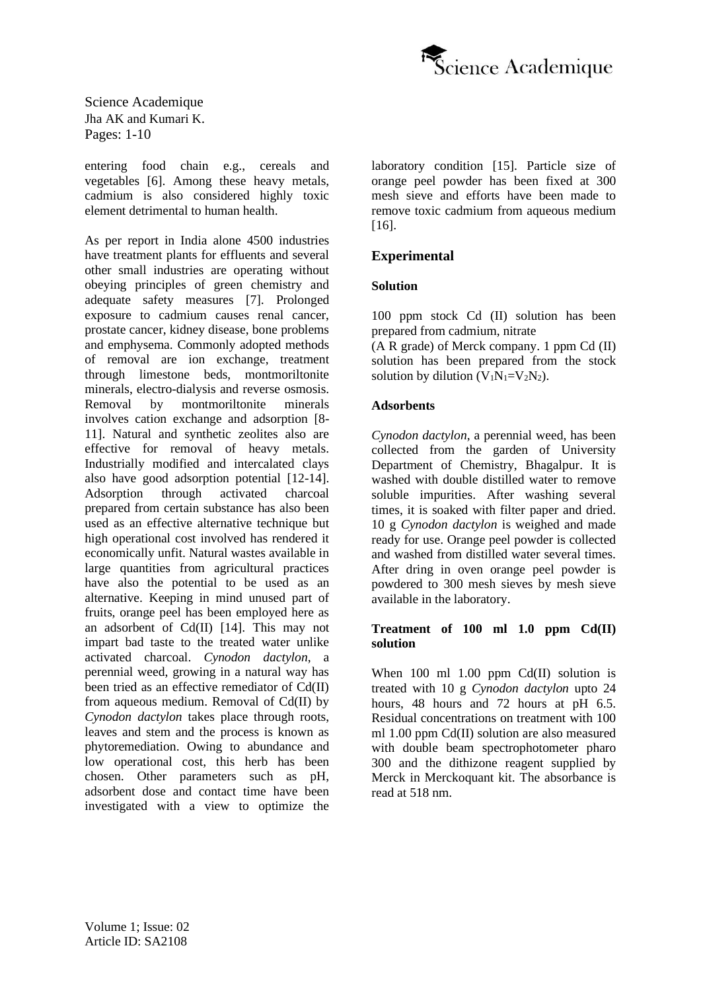

entering food chain e.g., cereals and vegetables [6]. Among these heavy metals, cadmium is also considered highly toxic element detrimental to human health.

As per report in India alone 4500 industries have treatment plants for effluents and several other small industries are operating without obeying principles of green chemistry and adequate safety measures [7]. Prolonged exposure to cadmium causes renal cancer, prostate cancer, kidney disease, bone problems and emphysema. Commonly adopted methods of removal are ion exchange, treatment through limestone beds, montmoriltonite minerals, electro-dialysis and reverse osmosis. Removal by montmoriltonite minerals involves cation exchange and adsorption [8- 11]. Natural and synthetic zeolites also are effective for removal of heavy metals. Industrially modified and intercalated clays also have good adsorption potential [12-14]. Adsorption through activated charcoal prepared from certain substance has also been used as an effective alternative technique but high operational cost involved has rendered it economically unfit. Natural wastes available in large quantities from agricultural practices have also the potential to be used as an alternative. Keeping in mind unused part of fruits, orange peel has been employed here as an adsorbent of Cd(II) [14]. This may not impart bad taste to the treated water unlike activated charcoal. *Cynodon dactylon*, a perennial weed, growing in a natural way has been tried as an effective remediator of Cd(II) from aqueous medium. Removal of Cd(II) by *Cynodon dactylon* takes place through roots, leaves and stem and the process is known as phytoremediation. Owing to abundance and low operational cost, this herb has been chosen. Other parameters such as pH, adsorbent dose and contact time have been investigated with a view to optimize the laboratory condition [15]. Particle size of orange peel powder has been fixed at 300 mesh sieve and efforts have been made to remove toxic cadmium from aqueous medium [16].

# **Experimental**

# **Solution**

100 ppm stock Cd (II) solution has been prepared from cadmium, nitrate

(A R grade) of Merck company. 1 ppm Cd (II) solution has been prepared from the stock solution by dilution  $(V_1N_1=V_2N_2)$ .

### **Adsorbents**

*Cynodon dactylon*, a perennial weed, has been collected from the garden of University Department of Chemistry, Bhagalpur. It is washed with double distilled water to remove soluble impurities. After washing several times, it is soaked with filter paper and dried. 10 g *Cynodon dactylon* is weighed and made ready for use. Orange peel powder is collected and washed from distilled water several times. After dring in oven orange peel powder is powdered to 300 mesh sieves by mesh sieve available in the laboratory.

#### **Treatment of 100 ml 1.0 ppm Cd(II) solution**

When  $100 \text{ ml } 1.00 \text{ ppm } \text{Cd(II)}$  solution is treated with 10 g *Cynodon dactylon* upto 24 hours, 48 hours and 72 hours at pH 6.5. Residual concentrations on treatment with 100 ml 1.00 ppm Cd(II) solution are also measured with double beam spectrophotometer pharo 300 and the dithizone reagent supplied by Merck in Merckoquant kit. The absorbance is read at 518 nm.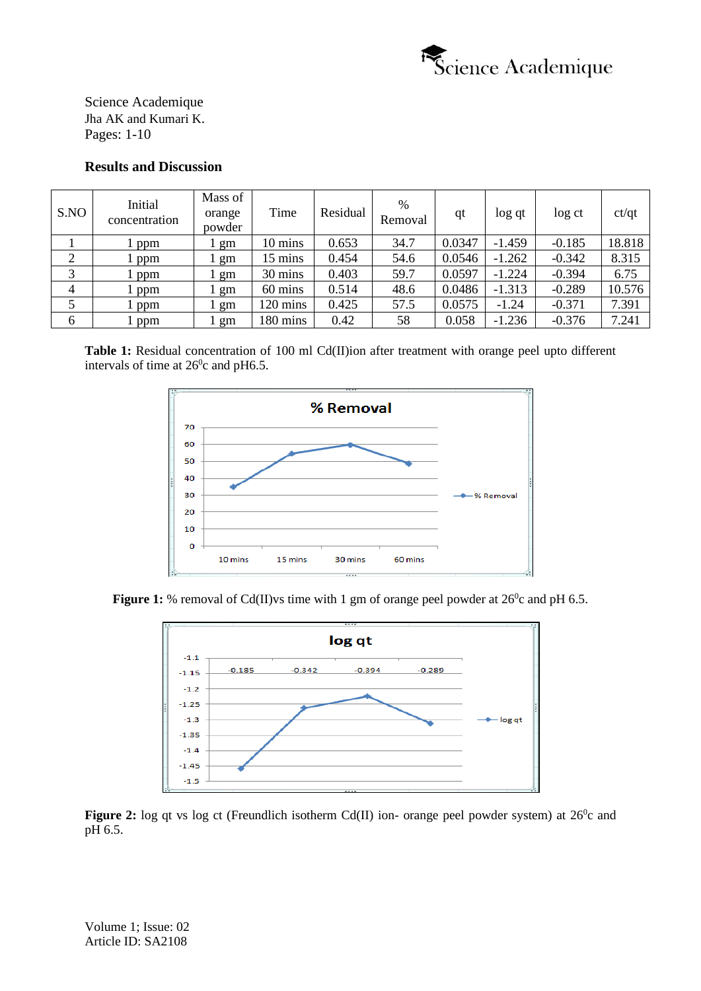

### **Results and Discussion**

| S.NO           | Initial<br>concentration | Mass of<br>orange<br>powder | Time     | Residual | %<br>Removal | qt     | log qt   | log ct   | ct/qt  |
|----------------|--------------------------|-----------------------------|----------|----------|--------------|--------|----------|----------|--------|
|                | l ppm                    | gm                          | 10 mins  | 0.653    | 34.7         | 0.0347 | $-1.459$ | $-0.185$ | 18.818 |
| 2              | l ppm                    | gm                          | 15 mins  | 0.454    | 54.6         | 0.0546 | $-1.262$ | $-0.342$ | 8.315  |
| 3              | ppm                      | gm                          | 30 mins  | 0.403    | 59.7         | 0.0597 | $-1.224$ | $-0.394$ | 6.75   |
| $\overline{4}$ | ppm                      | gm                          | 60 mins  | 0.514    | 48.6         | 0.0486 | $-1.313$ | $-0.289$ | 10.576 |
|                | l ppm                    | gm                          | 120 mins | 0.425    | 57.5         | 0.0575 | $-1.24$  | $-0.371$ | 7.391  |
| 6              | ppm                      | gm                          | 180 mins | 0.42     | 58           | 0.058  | $-1.236$ | $-0.376$ | 7.241  |

Table 1: Residual concentration of 100 ml Cd(II)ion after treatment with orange peel upto different intervals of time at  $26^{\circ}$ c and pH6.5.



**Figure 1:** % removal of Cd(II)vs time with 1 gm of orange peel powder at  $26^{\circ}$ c and pH 6.5.



**Figure 2:** log qt vs log ct (Freundlich isotherm Cd(II) ion- orange peel powder system) at  $26^{\circ}$ c and pH 6.5.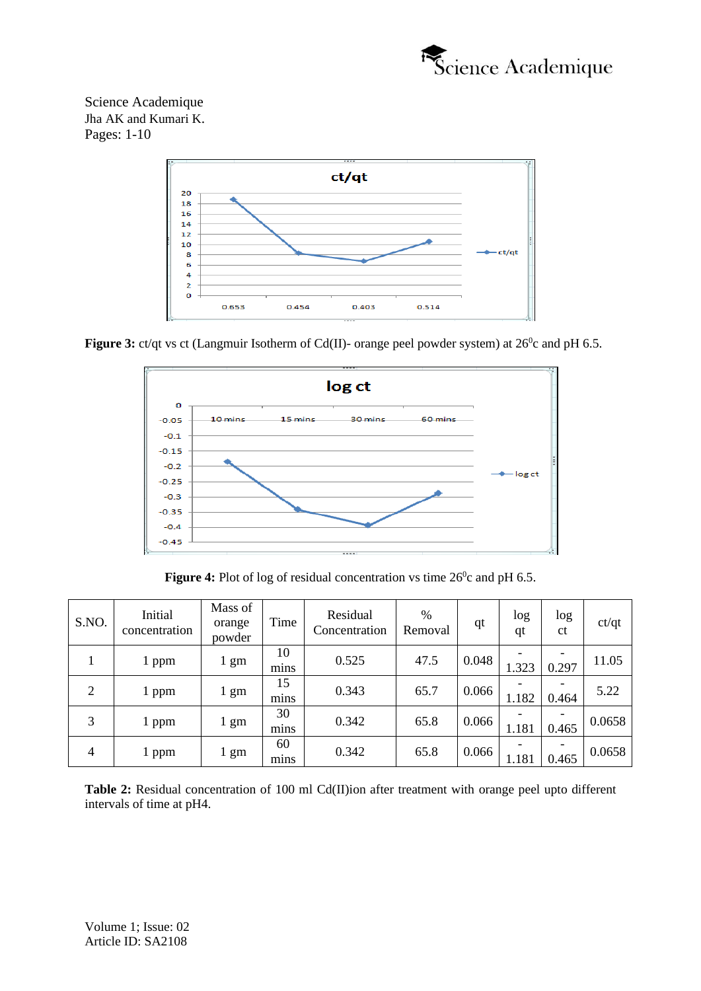



Figure 3: ct/qt vs ct (Langmuir Isotherm of Cd(II)- orange peel powder system) at 26<sup>0</sup>c and pH 6.5.



Figure 4: Plot of log of residual concentration vs time 26<sup>0</sup>c and pH 6.5.

| S.NO.          | Initial<br>concentration | Mass of<br>orange<br>powder | Time       | Residual<br>Concentration | %<br>Removal | qt    | log<br>qt | log<br><sub>ct</sub> | ct/qt  |
|----------------|--------------------------|-----------------------------|------------|---------------------------|--------------|-------|-----------|----------------------|--------|
|                | 1 ppm                    | 1 gm                        | 10<br>mins | 0.525                     | 47.5         | 0.048 | 1.323     | -<br>0.297           | 11.05  |
| $\overline{2}$ | 1 ppm                    | 1 gm                        | 15<br>mins | 0.343                     | 65.7         | 0.066 | 1.182     | 0.464                | 5.22   |
| 3              | 1 ppm                    | 1 gm                        | 30<br>mins | 0.342                     | 65.8         | 0.066 | 1.181     | 0.465                | 0.0658 |
| 4              | 1 ppm                    | 1 gm                        | 60<br>mins | 0.342                     | 65.8         | 0.066 | 1.181     | -<br>0.465           | 0.0658 |

**Table 2:** Residual concentration of 100 ml Cd(II)ion after treatment with orange peel upto different intervals of time at pH4.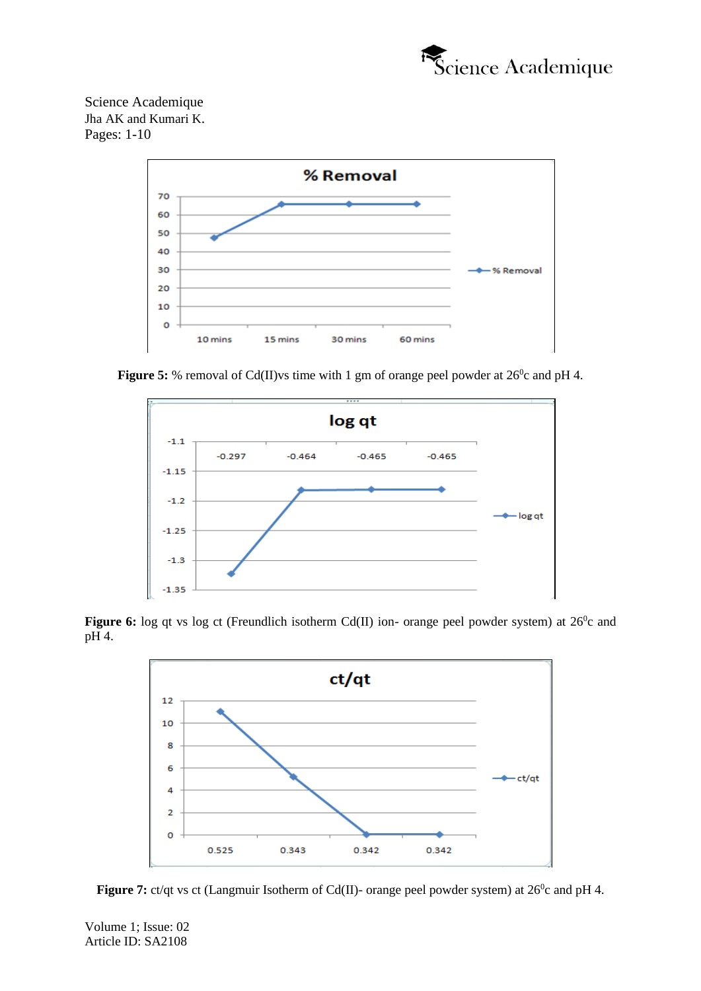



Figure 5: % removal of Cd(II)vs time with 1 gm of orange peel powder at 26<sup>0</sup>c and pH 4.



Figure 6: log qt vs log ct (Freundlich isotherm Cd(II) ion- orange peel powder system) at 26<sup>0</sup>c and pH 4.





Volume 1; Issue: 02 Article ID: SA2108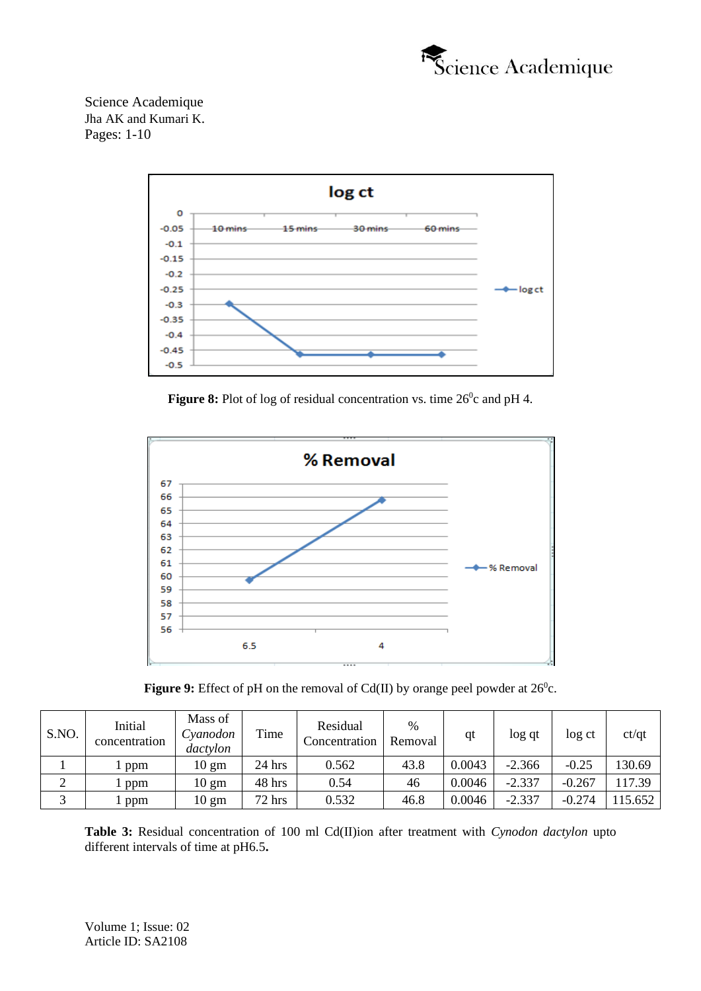



Figure 8: Plot of log of residual concentration vs. time 26<sup>0</sup>c and pH 4.





| S.NO. | Initial<br>concentration | Mass of<br>Cyanodon<br>dactylon | Time   | Residual<br>Concentration | $\frac{0}{0}$<br>Removal | qt     | log qt   | log ct   | ct/qt   |
|-------|--------------------------|---------------------------------|--------|---------------------------|--------------------------|--------|----------|----------|---------|
|       | ppm                      | $10 \text{ gm}$                 | 24 hrs | 0.562                     | 43.8                     | 0.0043 | $-2.366$ | $-0.25$  | 130.69  |
| ∠     | ppm                      | $10 \text{ gm}$                 | 48 hrs | 0.54                      | 46                       | 0.0046 | $-2.337$ | $-0.267$ | 17.39   |
|       | ppm                      | 10 gm                           | 72 hrs | 0.532                     | 46.8                     | 0.0046 | $-2.337$ | $-0.274$ | 115.652 |

**Table 3:** Residual concentration of 100 ml Cd(II)ion after treatment with *Cynodon dactylon* upto different intervals of time at pH6.5**.**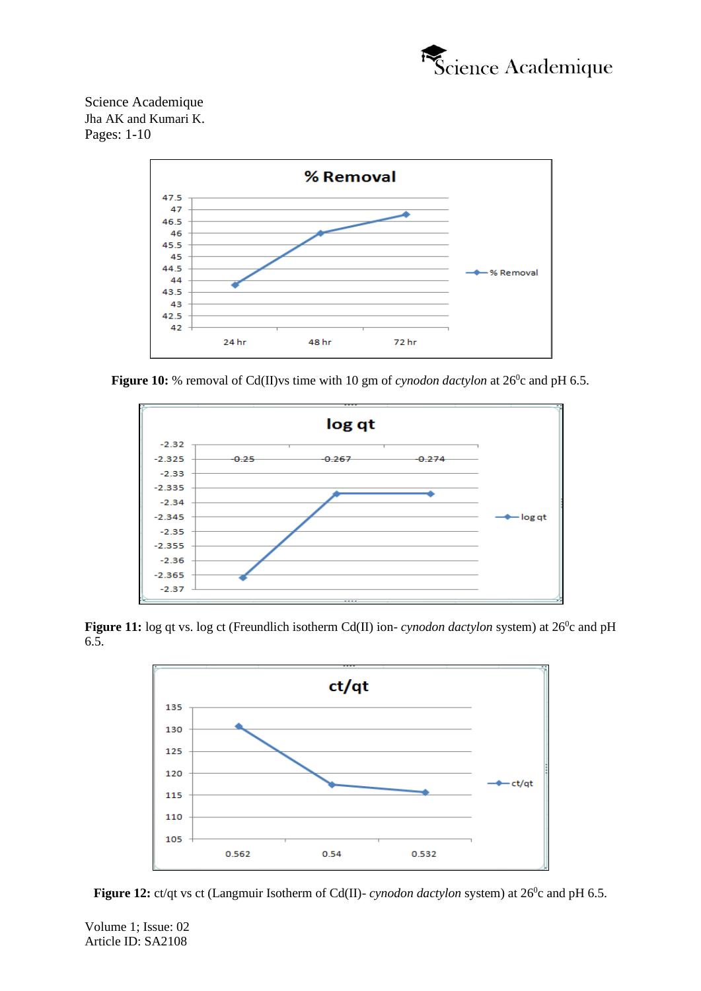



**Figure 10:** % removal of Cd(II)vs time with 10 gm of *cynodon dactylon* at  $26^\circ$ c and pH 6.5.



**Figure 11:** log qt vs. log ct (Freundlich isotherm Cd(II) ion- *cynodon dactylon* system) at 26<sup>0</sup>c and pH 6.5.



**Figure 12:** ct/qt vs ct (Langmuir Isotherm of Cd(II)- *cynodon dactylon* system) at 26<sup>0</sup>c and pH 6.5.

Volume 1; Issue: 02 Article ID: SA2108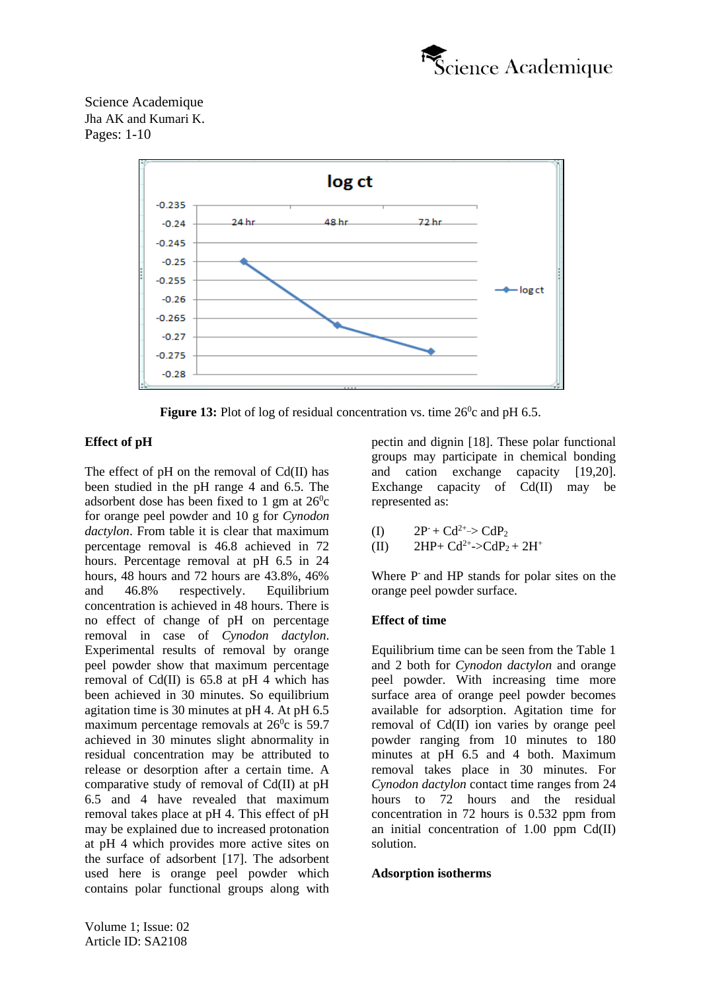



**Figure 13:** Plot of log of residual concentration vs. time  $26^\circ$ c and pH 6.5.

# **Effect of pH**

The effect of pH on the removal of Cd(II) has been studied in the pH range 4 and 6.5. The adsorbent dose has been fixed to 1 gm at  $26^{\circ}$ c for orange peel powder and 10 g for *Cynodon dactylon*. From table it is clear that maximum percentage removal is 46.8 achieved in 72 hours. Percentage removal at pH 6.5 in 24 hours, 48 hours and 72 hours are 43.8%, 46% and 46.8% respectively. Equilibrium concentration is achieved in 48 hours. There is no effect of change of pH on percentage removal in case of *Cynodon dactylon*. Experimental results of removal by orange peel powder show that maximum percentage removal of Cd(II) is 65.8 at pH 4 which has been achieved in 30 minutes. So equilibrium agitation time is 30 minutes at pH 4. At pH 6.5 maximum percentage removals at  $26^{\circ}$ c is 59.7 achieved in 30 minutes slight abnormality in residual concentration may be attributed to release or desorption after a certain time. A comparative study of removal of Cd(II) at pH 6.5 and 4 have revealed that maximum removal takes place at pH 4. This effect of pH may be explained due to increased protonation at pH 4 which provides more active sites on the surface of adsorbent [17]. The adsorbent used here is orange peel powder which contains polar functional groups along with

pectin and dignin [18]. These polar functional groups may participate in chemical bonding and cation exchange capacity [19,20]. Exchange capacity of Cd(II) may be represented as:

$$
(I) \qquad 2P^{\text{-}} + Cd^{2+} > CdP_2
$$

(II) 
$$
2HP + Cd^{2+} > CdP_2 + 2H^+
$$

Where P-and HP stands for polar sites on the orange peel powder surface.

# **Effect of time**

Equilibrium time can be seen from the Table 1 and 2 both for *Cynodon dactylon* and orange peel powder. With increasing time more surface area of orange peel powder becomes available for adsorption. Agitation time for removal of Cd(II) ion varies by orange peel powder ranging from 10 minutes to 180 minutes at pH 6.5 and 4 both. Maximum removal takes place in 30 minutes. For *Cynodon dactylon* contact time ranges from 24 hours to 72 hours and the residual concentration in 72 hours is 0.532 ppm from an initial concentration of 1.00 ppm Cd(II) solution.

# **Adsorption isotherms**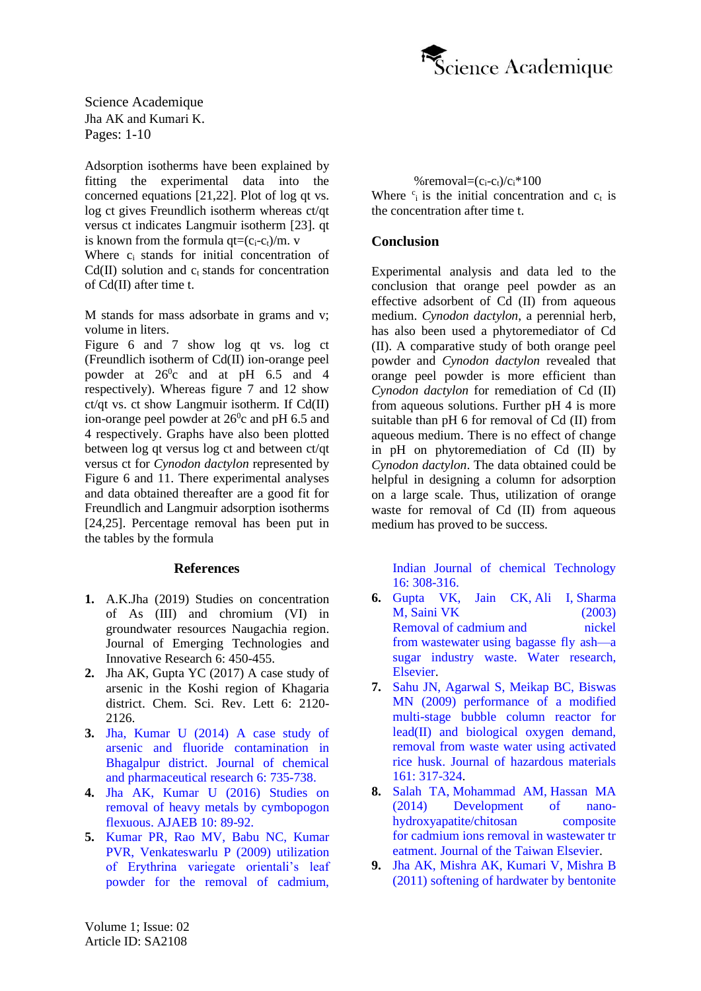

Adsorption isotherms have been explained by fitting the experimental data into the concerned equations [21,22]. Plot of log qt vs. log ct gives Freundlich isotherm whereas ct/qt versus ct indicates Langmuir isotherm [23]. qt is known from the formula  $at=(c_i-c_i)/m$ . v Where c<sub>i</sub> stands for initial concentration of  $Cd(II)$  solution and  $c_t$  stands for concentration of Cd(II) after time t.

M stands for mass adsorbate in grams and v; volume in liters.

Figure 6 and 7 show log qt vs. log ct (Freundlich isotherm of Cd(II) ion-orange peel powder at  $26^{\circ}$ c and at pH 6.5 and 4 respectively). Whereas figure 7 and 12 show ct/qt vs. ct show Langmuir isotherm. If Cd(II) ion-orange peel powder at  $26^{\circ}$ c and pH 6.5 and 4 respectively. Graphs have also been plotted between log qt versus log ct and between ct/qt versus ct for *Cynodon dactylon* represented by Figure 6 and 11. There experimental analyses and data obtained thereafter are a good fit for Freundlich and Langmuir adsorption isotherms [24,25]. Percentage removal has been put in the tables by the formula

#### **References**

- **1.** A.K.Jha (2019) Studies on concentration of As (III) and chromium (VI) in groundwater resources Naugachia region. Journal of Emerging Technologies and Innovative Research 6: 450-455.
- **2.** Jha AK, Gupta YC (2017) A case study of arsenic in the Koshi region of Khagaria district. Chem. Sci. Rev. Lett 6: 2120- 2126.
- **3.** Jha, Kumar U (2014) [A case study of](https://www.jocpr.com/articles/a-case-study-of-arsenic-and-fluoride-contamination-in-groundwater-of-bhagalpur-district.pdf)  [arsenic and fluoride contamination in](https://www.jocpr.com/articles/a-case-study-of-arsenic-and-fluoride-contamination-in-groundwater-of-bhagalpur-district.pdf)  Bhagalpur district. [Journal of chemical](https://www.jocpr.com/articles/a-case-study-of-arsenic-and-fluoride-contamination-in-groundwater-of-bhagalpur-district.pdf)  [and pharmaceutical research](https://www.jocpr.com/articles/a-case-study-of-arsenic-and-fluoride-contamination-in-groundwater-of-bhagalpur-district.pdf) 6: 735-738.
- **4.** Jha [AK, Kumar](http://ndpublisher.in/admin/issues/IJAEBV10N1q.pdf) U (2016) Studies on [removal of heavy metals by cymbopogon](http://ndpublisher.in/admin/issues/IJAEBV10N1q.pdf)  flexuous. AJAEB [10: 89-92.](http://ndpublisher.in/admin/issues/IJAEBV10N1q.pdf)
- **5.** Kumar PR, Rao MV, Babu [NC, Kumar](https://www.researchgate.net/publication/290791771_Utilization_of_Erythrina_variegata_orientalis_leaf_powder_for_the_removal_of_cadmium)  [PVR, Venkateswarlu](https://www.researchgate.net/publication/290791771_Utilization_of_Erythrina_variegata_orientalis_leaf_powder_for_the_removal_of_cadmium) P (2009) utilization [of Erythrina variegate orientali's leaf](https://www.researchgate.net/publication/290791771_Utilization_of_Erythrina_variegata_orientalis_leaf_powder_for_the_removal_of_cadmium)  [powder for the removal of cadmium,](https://www.researchgate.net/publication/290791771_Utilization_of_Erythrina_variegata_orientalis_leaf_powder_for_the_removal_of_cadmium)

%removal= $(c_i-c_i)/c_i*100$ Where  $c_i$  is the initial concentration and  $c_t$  is the concentration after time t.

#### **Conclusion**

Experimental analysis and data led to the conclusion that orange peel powder as an effective adsorbent of Cd (II) from aqueous medium. *Cynodon dactylon*, a perennial herb, has also been used a phytoremediator of Cd (II). A comparative study of both orange peel powder and *Cynodon dactylon* revealed that orange peel powder is more efficient than *Cynodon dactylon* for remediation of Cd (II) from aqueous solutions. Further pH 4 is more suitable than pH 6 for removal of Cd (II) from aqueous medium. There is no effect of change in pH on phytoremediation of Cd (II) by *Cynodon dactylon*. The data obtained could be helpful in designing a column for adsorption on a large scale. Thus, utilization of orange waste for removal of Cd (II) from aqueous medium has proved to be success.

[Indian Journal of chemical Technology](https://www.researchgate.net/publication/290791771_Utilization_of_Erythrina_variegata_orientalis_leaf_powder_for_the_removal_of_cadmium) [16: 308-316.](https://www.researchgate.net/publication/290791771_Utilization_of_Erythrina_variegata_orientalis_leaf_powder_for_the_removal_of_cadmium)

- **6.** Gupta VK, Jain CK, Ali I, [Sharma](https://www.sciencedirect.com/science/article/abs/pii/S0043135403002926) M, Saini VK [\(2003\)](https://www.sciencedirect.com/science/article/abs/pii/S0043135403002926) Removal of cadmium and nickel from wastewater [using bagasse fly ash—a](https://www.sciencedirect.com/science/article/abs/pii/S0043135403002926)  [sugar industry waste. Water research,](https://www.sciencedirect.com/science/article/abs/pii/S0043135403002926) [Elsevier.](https://www.sciencedirect.com/science/article/abs/pii/S0043135403002926)
- **7.** Sahu [JN, Agarwal](https://www.sciencedirect.com/science/article/abs/pii/S0304389408004743) S, Meikap BC, Biswas [MN \(2009\) performance of a modified](https://www.sciencedirect.com/science/article/abs/pii/S0304389408004743)  [multi-stage bubble column reactor for](https://www.sciencedirect.com/science/article/abs/pii/S0304389408004743)  [lead\(II\) and biological oxygen demand,](https://www.sciencedirect.com/science/article/abs/pii/S0304389408004743)  [removal from waste water using activated](https://www.sciencedirect.com/science/article/abs/pii/S0304389408004743)  rice husk. [Journal of hazardous materials](https://www.sciencedirect.com/science/article/abs/pii/S0304389408004743) 161: [317-324.](https://www.sciencedirect.com/science/article/abs/pii/S0304389408004743)
- **8.** Salah TA, [Mohammad](https://www.sciencedirect.com/science/article/abs/pii/S1876107013002691) AM, Hassan MA [\(2014\) Development of nano](https://www.sciencedirect.com/science/article/abs/pii/S1876107013002691)[hydroxyapatite/chitosan composite](https://www.sciencedirect.com/science/article/abs/pii/S1876107013002691)  for cadmium ions removal in [wastewater](https://www.sciencedirect.com/science/article/abs/pii/S1876107013002691) tr eatment. [Journal of the Taiwan Elsevier.](https://www.sciencedirect.com/science/article/abs/pii/S1876107013002691)
- **9.** Jha AK, Mishra [AK, Kumari](https://content.iospress.com/articles/asian-journal-of-water-environment-and-pollution/ajw8-4-12) V, Mishra B [\(2011\) softening of hardwater by bentonite](https://content.iospress.com/articles/asian-journal-of-water-environment-and-pollution/ajw8-4-12)